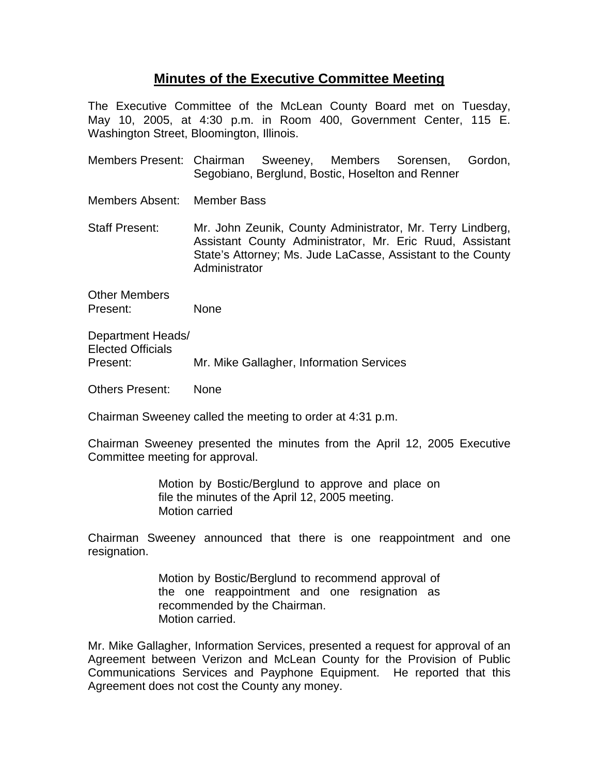## **Minutes of the Executive Committee Meeting**

The Executive Committee of the McLean County Board met on Tuesday, May 10, 2005, at 4:30 p.m. in Room 400, Government Center, 115 E. Washington Street, Bloomington, Illinois.

Members Present: Chairman Sweeney, Members Sorensen, Gordon, Segobiano, Berglund, Bostic, Hoselton and Renner

Members Absent: Member Bass

Staff Present: Mr. John Zeunik, County Administrator, Mr. Terry Lindberg, Assistant County Administrator, Mr. Eric Ruud, Assistant State's Attorney; Ms. Jude LaCasse, Assistant to the County Administrator

Other Members Present: None

Department Heads/ Elected Officials Present: Mr. Mike Gallagher, Information Services

Others Present: None

Chairman Sweeney called the meeting to order at 4:31 p.m.

Chairman Sweeney presented the minutes from the April 12, 2005 Executive Committee meeting for approval.

> Motion by Bostic/Berglund to approve and place on file the minutes of the April 12, 2005 meeting. Motion carried

Chairman Sweeney announced that there is one reappointment and one resignation.

> Motion by Bostic/Berglund to recommend approval of the one reappointment and one resignation as recommended by the Chairman. Motion carried.

Mr. Mike Gallagher, Information Services, presented a request for approval of an Agreement between Verizon and McLean County for the Provision of Public Communications Services and Payphone Equipment. He reported that this Agreement does not cost the County any money.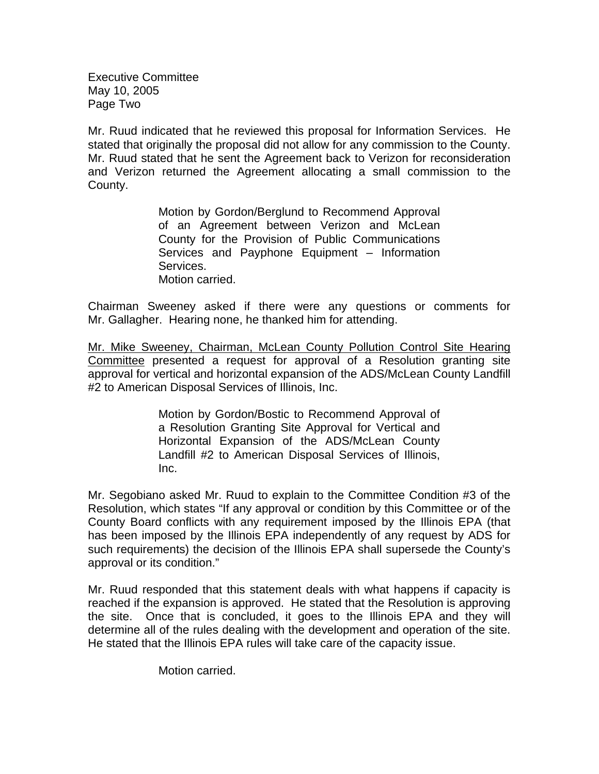Executive Committee May 10, 2005 Page Two

Mr. Ruud indicated that he reviewed this proposal for Information Services. He stated that originally the proposal did not allow for any commission to the County. Mr. Ruud stated that he sent the Agreement back to Verizon for reconsideration and Verizon returned the Agreement allocating a small commission to the County.

> Motion by Gordon/Berglund to Recommend Approval of an Agreement between Verizon and McLean County for the Provision of Public Communications Services and Payphone Equipment – Information Services. Motion carried.

Chairman Sweeney asked if there were any questions or comments for Mr. Gallagher. Hearing none, he thanked him for attending.

Mr. Mike Sweeney, Chairman, McLean County Pollution Control Site Hearing Committee presented a request for approval of a Resolution granting site approval for vertical and horizontal expansion of the ADS/McLean County Landfill #2 to American Disposal Services of Illinois, Inc.

> Motion by Gordon/Bostic to Recommend Approval of a Resolution Granting Site Approval for Vertical and Horizontal Expansion of the ADS/McLean County Landfill #2 to American Disposal Services of Illinois, Inc.

Mr. Segobiano asked Mr. Ruud to explain to the Committee Condition #3 of the Resolution, which states "If any approval or condition by this Committee or of the County Board conflicts with any requirement imposed by the Illinois EPA (that has been imposed by the Illinois EPA independently of any request by ADS for such requirements) the decision of the Illinois EPA shall supersede the County's approval or its condition."

Mr. Ruud responded that this statement deals with what happens if capacity is reached if the expansion is approved. He stated that the Resolution is approving the site. Once that is concluded, it goes to the Illinois EPA and they will determine all of the rules dealing with the development and operation of the site. He stated that the Illinois EPA rules will take care of the capacity issue.

Motion carried.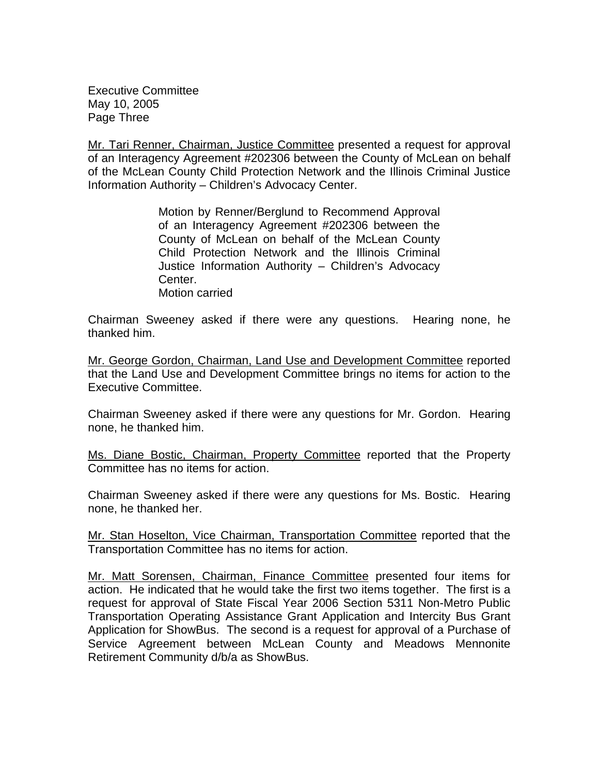Executive Committee May 10, 2005 Page Three

Mr. Tari Renner, Chairman, Justice Committee presented a request for approval of an Interagency Agreement #202306 between the County of McLean on behalf of the McLean County Child Protection Network and the Illinois Criminal Justice Information Authority – Children's Advocacy Center.

> Motion by Renner/Berglund to Recommend Approval of an Interagency Agreement #202306 between the County of McLean on behalf of the McLean County Child Protection Network and the Illinois Criminal Justice Information Authority – Children's Advocacy Center. Motion carried

Chairman Sweeney asked if there were any questions. Hearing none, he thanked him.

Mr. George Gordon, Chairman, Land Use and Development Committee reported that the Land Use and Development Committee brings no items for action to the Executive Committee.

Chairman Sweeney asked if there were any questions for Mr. Gordon. Hearing none, he thanked him.

Ms. Diane Bostic, Chairman, Property Committee reported that the Property Committee has no items for action.

Chairman Sweeney asked if there were any questions for Ms. Bostic. Hearing none, he thanked her.

Mr. Stan Hoselton, Vice Chairman, Transportation Committee reported that the Transportation Committee has no items for action.

Mr. Matt Sorensen, Chairman, Finance Committee presented four items for action. He indicated that he would take the first two items together. The first is a request for approval of State Fiscal Year 2006 Section 5311 Non-Metro Public Transportation Operating Assistance Grant Application and Intercity Bus Grant Application for ShowBus. The second is a request for approval of a Purchase of Service Agreement between McLean County and Meadows Mennonite Retirement Community d/b/a as ShowBus.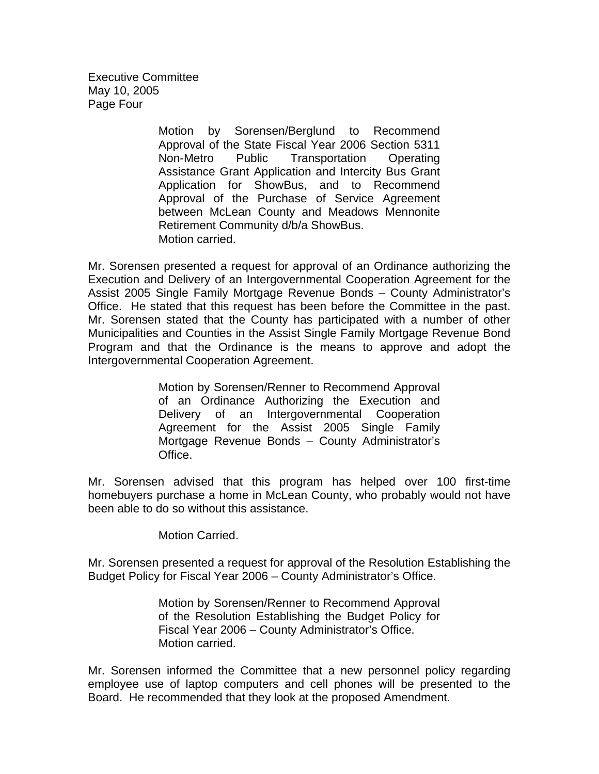Executive Committee May 10, 2005 Page Four

> Motion by Sorensen/Berglund to Recommend Approval of the State Fiscal Year 2006 Section 5311 Non-Metro Public Transportation Operating Assistance Grant Application and Intercity Bus Grant Application for ShowBus, and to Recommend Approval of the Purchase of Service Agreement between McLean County and Meadows Mennonite Retirement Community d/b/a ShowBus. Motion carried.

Mr. Sorensen presented a request for approval of an Ordinance authorizing the Execution and Delivery of an Intergovernmental Cooperation Agreement for the Assist 2005 Single Family Mortgage Revenue Bonds – County Administrator's Office. He stated that this request has been before the Committee in the past. Mr. Sorensen stated that the County has participated with a number of other Municipalities and Counties in the Assist Single Family Mortgage Revenue Bond Program and that the Ordinance is the means to approve and adopt the Intergovernmental Cooperation Agreement.

> Motion by Sorensen/Renner to Recommend Approval of an Ordinance Authorizing the Execution and Delivery of an Intergovernmental Cooperation Agreement for the Assist 2005 Single Family Mortgage Revenue Bonds – County Administrator's Office.

Mr. Sorensen advised that this program has helped over 100 first-time homebuyers purchase a home in McLean County, who probably would not have been able to do so without this assistance.

Motion Carried.

Mr. Sorensen presented a request for approval of the Resolution Establishing the Budget Policy for Fiscal Year 2006 – County Administrator's Office.

> Motion by Sorensen/Renner to Recommend Approval of the Resolution Establishing the Budget Policy for Fiscal Year 2006 – County Administrator's Office. Motion carried.

Mr. Sorensen informed the Committee that a new personnel policy regarding employee use of laptop computers and cell phones will be presented to the Board. He recommended that they look at the proposed Amendment.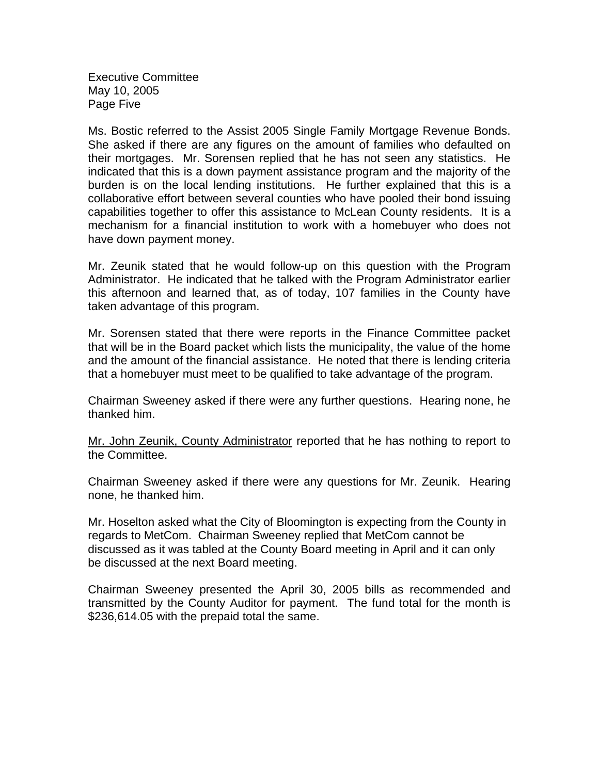Executive Committee May 10, 2005 Page Five

Ms. Bostic referred to the Assist 2005 Single Family Mortgage Revenue Bonds. She asked if there are any figures on the amount of families who defaulted on their mortgages. Mr. Sorensen replied that he has not seen any statistics. He indicated that this is a down payment assistance program and the majority of the burden is on the local lending institutions. He further explained that this is a collaborative effort between several counties who have pooled their bond issuing capabilities together to offer this assistance to McLean County residents. It is a mechanism for a financial institution to work with a homebuyer who does not have down payment money.

Mr. Zeunik stated that he would follow-up on this question with the Program Administrator. He indicated that he talked with the Program Administrator earlier this afternoon and learned that, as of today, 107 families in the County have taken advantage of this program.

Mr. Sorensen stated that there were reports in the Finance Committee packet that will be in the Board packet which lists the municipality, the value of the home and the amount of the financial assistance. He noted that there is lending criteria that a homebuyer must meet to be qualified to take advantage of the program.

Chairman Sweeney asked if there were any further questions. Hearing none, he thanked him.

Mr. John Zeunik, County Administrator reported that he has nothing to report to the Committee.

Chairman Sweeney asked if there were any questions for Mr. Zeunik. Hearing none, he thanked him.

Mr. Hoselton asked what the City of Bloomington is expecting from the County in regards to MetCom. Chairman Sweeney replied that MetCom cannot be discussed as it was tabled at the County Board meeting in April and it can only be discussed at the next Board meeting.

Chairman Sweeney presented the April 30, 2005 bills as recommended and transmitted by the County Auditor for payment. The fund total for the month is \$236,614.05 with the prepaid total the same.